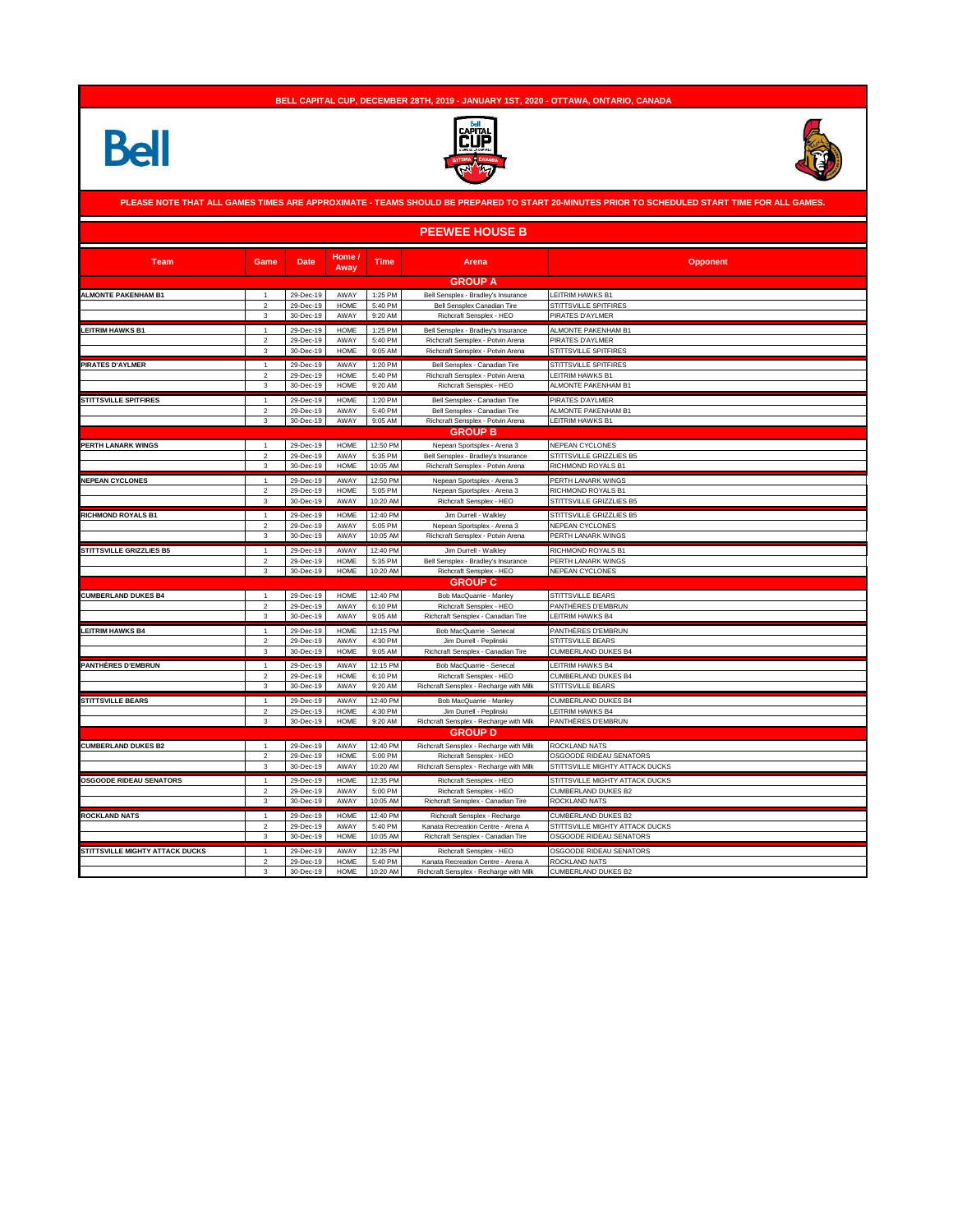## **BELL CAPITAL CUP, DECEMBER 28TH, 2019 - JANUARY 1ST, 2020 - OTTAWA, ONTARIO, CANADA**







|                                        |                                         |                        |                     |                    | <b>PEEWEE HOUSE B</b>                                               |                                          |
|----------------------------------------|-----------------------------------------|------------------------|---------------------|--------------------|---------------------------------------------------------------------|------------------------------------------|
| <b>Team</b>                            | Game                                    | <b>Date</b>            | Home /<br>Away      | <b>Time</b>        | Arena                                                               | <b>Opponent</b>                          |
|                                        |                                         |                        |                     |                    | <b>GROUP A</b>                                                      |                                          |
| <b>ALMONTE PAKENHAM B1</b>             |                                         | 29-Dec-19              | AWAY                | 1:25 PM            | Bell Sensplex - Bradley's Insurance                                 | LEITRIM HAWKS B1                         |
|                                        | $\overline{2}$                          | 29-Dec-19              | <b>HOME</b>         | 5:40 PM            | Bell Sensplex Canadian Tire                                         | STITTSVILLE SPITFIRES                    |
|                                        | $\mathbf{3}$                            | 30-Dec-19              | AWAY                | 9:20 AM            | Richcraft Sensplex - HEO                                            | PIRATES D'AYLMER                         |
| <b>LEITRIM HAWKS B1</b>                | 1                                       | 29-Dec-19              | <b>HOME</b>         | 1:25 PM            | Bell Sensplex - Bradley's Insurance                                 | ALMONTE PAKENHAM B1                      |
|                                        | $\overline{2}$                          | 29-Dec-19              | AWAY                | 5:40 PM            | Richcraft Sensplex - Potvin Arena                                   | PIRATES D'AYLMER                         |
|                                        | 3                                       | 30-Dec-19              | <b>HOME</b>         | 9:05 AM            | Richcraft Sensplex - Potvin Arena                                   | STITTSVILLE SPITFIRES                    |
| PIRATES D'AYLMER                       | $\mathbf{1}$                            | 29-Dec-19              | AWAY                | 1:20 PM            | Bell Sensplex - Canadian Tire                                       | STITTSVILLE SPITFIRES                    |
|                                        | $\overline{2}$                          | 29-Dec-19              | <b>HOME</b>         | 5:40 PM            | Richcraft Sensplex - Potvin Arena                                   | LEITRIM HAWKS B1                         |
|                                        | 3                                       | 30-Dec-19              | <b>HOME</b>         | 9:20 AM            | Richcraft Sensplex - HEO                                            | ALMONTE PAKENHAM B1                      |
| <b>STITTSVILLE SPITFIRES</b>           | $\mathbf{1}$                            | 29-Dec-19              | <b>HOME</b>         | 1:20 PM            | Bell Sensplex - Canadian Tire                                       | PIRATES D'AYLMER                         |
|                                        | $\overline{\mathbf{2}}$<br>$\mathbf{3}$ | 29-Dec-19<br>30-Dec-19 | AWAY<br>AWAY        | 5:40 PM<br>9:05 AM | Bell Sensplex - Canadian Tire<br>Richcraft Sensplex - Potvin Arena  | ALMONTE PAKENHAM B1<br>LEITRIM HAWKS B1  |
|                                        |                                         |                        |                     |                    | <b>GROUP B</b>                                                      |                                          |
| PERTH LANARK WINGS                     | $\overline{1}$                          | 29-Dec-19              | <b>HOME</b>         | 12:50 PM           | Nepean Sportsplex - Arena 3                                         | NEPEAN CYCLONES                          |
|                                        | $\overline{2}$                          | 29-Dec-19              | AWAY                | 5:35 PM            | Bell Sensplex - Bradley's Insurance                                 | STITTSVILLE GRIZZLIES B5                 |
|                                        | 3                                       | 30-Dec-19              | <b>HOME</b>         | 10:05 AM           | Richcraft Sensplex - Potvin Arena                                   | RICHMOND ROYALS B1                       |
| <b>NEPEAN CYCLONES</b>                 |                                         | 29-Dec-19              | AWAY                | 12:50 PM           | Nepean Sportsplex - Arena 3                                         | PERTH LANARK WINGS                       |
|                                        | $\overline{2}$                          | 29-Dec-19              | <b>HOME</b>         | 5:05 PM            | Nepean Sportsplex - Arena 3                                         | RICHMOND ROYALS B1                       |
|                                        | 3                                       | 30-Dec-19              | AWAY                | 10:20 AM           | Richcraft Sensplex - HEO                                            | STITTSVILLE GRIZZLIES B5                 |
| <b>RICHMOND ROYALS B1</b>              |                                         | 29-Dec-19              | <b>HOME</b>         | 12:40 PM           | Jim Durrell - Walkley                                               | STITTSVILLE GRIZZLIES B5                 |
|                                        | $\mathfrak{p}$                          | 29-Dec-19              | AWAY                | 5:05 PM            | Nepean Sportsplex - Arena 3                                         | <b>NEPEAN CYCLONES</b>                   |
|                                        | $\overline{3}$                          | 30-Dec-19              | AWAY                | 10:05 AM           | Richcraft Sensplex - Potvin Arena                                   | PERTH LANARK WINGS                       |
| STITTSVILLE GRIZZLIES B5               | $\overline{1}$                          | 29-Dec-19              | AWAY                | 12:40 PM           | Jim Durrell - Walkley                                               | RICHMOND ROYALS B1                       |
|                                        | $\overline{2}$                          | 29-Dec-19              | <b>HOME</b>         | 5:35 PM            | Bell Sensplex - Bradley's Insurance                                 | PERTH LANARK WINGS                       |
|                                        | 3                                       | 30-Dec-19              | <b>HOME</b>         | 10:20 AM           | Richcraft Sensplex - HEO                                            | NEPEAN CYCLONES                          |
|                                        |                                         |                        |                     |                    | <b>GROUP C</b>                                                      |                                          |
| <b>CUMBERLAND DUKES B4</b>             | 1                                       | 29-Dec-19              | <b>HOME</b>         | 12:40 PM           | Bob MacQuarrie - Manley                                             | STITTSVILLE BEARS                        |
|                                        | $\overline{2}$                          | 29-Dec-19              | AWAY                | 6:10 PM            | Richcraft Sensplex - HEO                                            | PANTHÈRES D'EMBRUN                       |
|                                        | 3                                       | 30-Dec-19              | AWAY                | 9:05 AM            | Richcraft Sensplex - Canadian Tire                                  | LEITRIM HAWKS B4                         |
| <b>LEITRIM HAWKS B4</b>                | 1                                       | 29-Dec-19              | <b>HOME</b>         | 12:15 PM           | Bob MacQuarrie - Senecal                                            | PANTHÈRES D'EMBRUN                       |
|                                        | $\overline{2}$                          | 29-Dec-19              | AWAY                | 4:30 PM            | Jim Durrell - Peplinski                                             | STITTSVILLE BEARS                        |
|                                        | 3                                       | 30-Dec-19              | <b>HOME</b>         | 9:05 AM            | Richcraft Sensplex - Canadian Tire                                  | CUMBERLAND DUKES B4                      |
| <b>PANTHÈRES D'EMBRUN</b>              | $\mathbf{1}$                            | 29-Dec-19              | AWAY                | 12:15 PM           | Bob MacQuarrie - Senecal                                            | LEITRIM HAWKS B4                         |
|                                        | $\overline{2}$<br>3                     | 29-Dec-19<br>30-Dec-19 | <b>HOME</b><br>AWAY | 6:10 PM<br>9:20 AM | Richcraft Sensplex - HEO<br>Richcraft Sensplex - Recharge with Milk | CUMBERLAND DUKES B4<br>STITTSVILLE BEARS |
|                                        |                                         |                        |                     |                    |                                                                     |                                          |
| <b>STITTSVILLE BEARS</b>               |                                         | 29-Dec-19              | AWAY<br><b>HOME</b> | 12:40 PM           | Bob MacQuarrie - Manley                                             | <b>CUMBERLAND DUKES B4</b>               |
|                                        | $\overline{2}$<br>$\mathbf{3}$          | 29-Dec-19<br>30-Dec-19 | <b>HOME</b>         | 4:30 PM<br>9:20 AM | Jim Durrell - Peplinski<br>Richcraft Sensplex - Recharge with Milk  | LEITRIM HAWKS B4<br>PANTHÈRES D'EMBRUN   |
|                                        |                                         |                        |                     |                    | <b>GROUP D</b>                                                      |                                          |
| <b>CUMBERLAND DUKES B2</b>             | $\overline{1}$                          | 29-Dec-19              | AWAY                | 12:40 PM           | Richcraft Sensplex - Recharge with Milk                             | ROCKLAND NATS                            |
|                                        | $\overline{2}$                          | 29-Dec-19              | <b>HOME</b>         | 5:00 PM            | Richcraft Sensplex - HEC                                            | OSGOODE RIDEAU SENATORS                  |
|                                        | 3                                       | 30-Dec-19              | AWAY                | 10:20 AM           | Richcraft Sensplex - Recharge with Milk                             | STITTSVILLE MIGHTY ATTACK DUCKS          |
| <b>OSGOODE RIDEAU SENATORS</b>         | 1                                       | 29-Dec-19              | <b>HOME</b>         | 12:35 PM           | Richcraft Sensplex - HEO                                            | STITTSVILLE MIGHTY ATTACK DUCKS          |
|                                        | $\overline{2}$                          | 29-Dec-19              | AWAY                | 5:00 PM            | Richcraft Sensplex - HEO                                            | <b>CUMBERLAND DUKES B2</b>               |
|                                        | $\mathsf 3$                             | 30-Dec-19              | AWAY                | 10:05 AM           | Richcraft Sensplex - Canadian Tire                                  | ROCKLAND NATS                            |
| <b>ROCKLAND NATS</b>                   | 1                                       | 29-Dec-19              | <b>HOME</b>         | 12:40 PM           | Richcraft Sensplex - Recharge                                       | <b>CUMBERLAND DUKES B2</b>               |
|                                        | $\overline{2}$                          | 29-Dec-19              | AWAY                | 5:40 PM            | Kanata Recreation Centre - Arena A                                  | STITTSVILLE MIGHTY ATTACK DUCKS          |
|                                        | 3                                       | 30-Dec-19              | <b>HOME</b>         | 10:05 AM           | Richcraft Sensplex - Canadian Tire                                  | OSGOODE RIDEAU SENATORS                  |
| <b>STITTSVILLE MIGHTY ATTACK DUCKS</b> |                                         | 29-Dec-19              | AWAY                | 12:35 PM           | Richcraft Sensplex - HEO                                            | OSGOODE RIDEAU SENATORS                  |
|                                        | $\overline{2}$                          | 29-Dec-19              | <b>HOME</b>         | 5:40 PM            | Kanata Recreation Centre - Arena A                                  | ROCKLAND NATS                            |
|                                        | 3                                       | 30-Dec-19              | <b>HOME</b>         | 10:20 AM           | Richcraft Sensplex - Recharge with Milk                             | <b>CUMBERLAND DUKES B2</b>               |